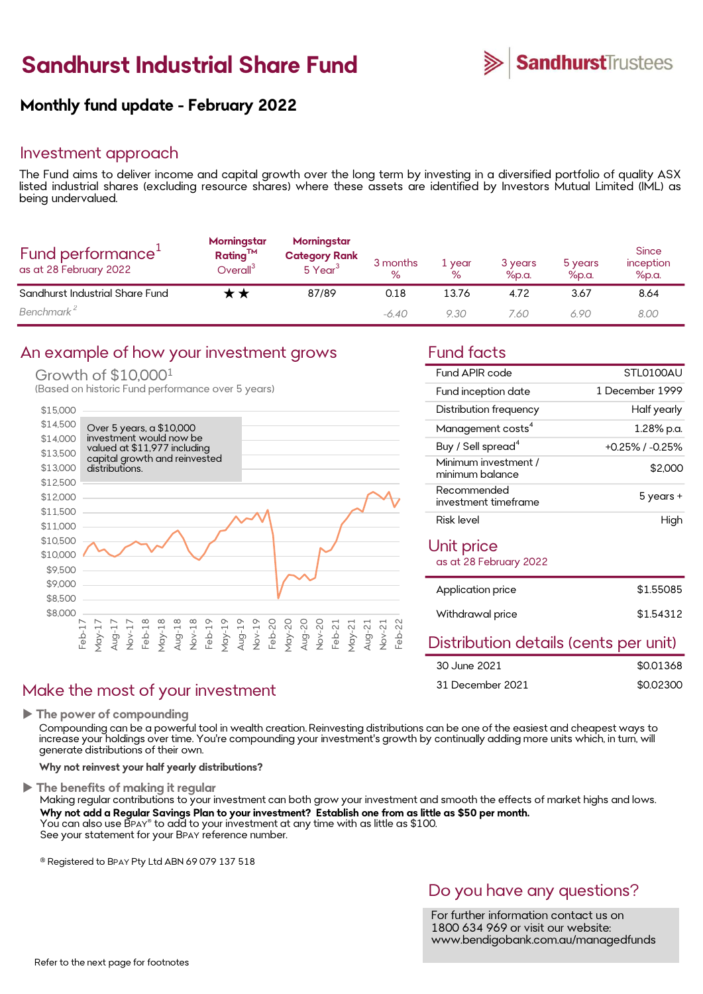# Sandhurst Industrial Share Fund



## Monthly fund update - February 2022

### Investment approach

**Sandhurst Industrial Share Fund**<br> **Monthly fund update - February 2022**<br>
Investment approach<br>
The Fund aims to deliver income and capital growth over the long term by investing in a diversified portfolio of quality ASX<br>
D **Sandhurst Industrial Share Fund**<br> **Monthly fund update - February 2022**<br>
Investment approach<br>
The Fund aims to deliver income and capital growth over the long term by investing in a diversified portfolio of quality ASX<br>
I **Sandhurst Industrial<br>Monthly fund update - Februa<br>Investment approach<br>The Fund aims to deliver income and cap<br>listed industrial shares (excluding resourc<br>being undervalued.** 

| Fund performance <sup>+</sup><br>as at 28 February 2022 | Morningstar<br>$Rating^{TM}$<br>$O$ veral $I^3$ | Morningstar<br><b>Category Rank</b><br>5 Year <sup>3</sup> | 3 months<br>$\%$ | 1 year<br>℅ | 3 years<br>%p.a. | 5 years<br>%p.a. | <b>Since</b><br>inception<br>%p.a. |
|---------------------------------------------------------|-------------------------------------------------|------------------------------------------------------------|------------------|-------------|------------------|------------------|------------------------------------|
| Sandhurst Industrial Share Fund                         |                                                 | 87/89                                                      | 0.18             | 13.76       | 4.72             | 3.67             | 8.64                               |
| Benchmark <sup>2</sup>                                  |                                                 |                                                            | $-6.40$          | 9.30        | 7.60             | 6.90             | 8.00                               |

### An example of how your investment grows Fund facts

### Growth of \$10,0001

(Based on historic Fund performance over 5 years)



### Make the most of your investment

 $\blacktriangleright$  The power of compounding

increase your holdings over time. You're compounding your investment's growth by continually adding more units which, in turn, will generate distributions of their own.

Why not reinvest your half yearly distributions?

d smooth the effects of market highs and lows.<br>**tle as \$50 per month.**<br>DO YOU have any questions?<br>For further information contact us on<br>1800 634 969 or visit our website:<br>www.bendigobank.com.au/managedfunds nd smooth the effects of market highs and lows.<br> **tle as \$50 per month.**<br>
DO you have any questions?<br>
For further information contact us on<br>
1800 634 969 or visit our website:<br>
www.bendiaobank.com.au/managedfunds The benefits of making it regular<br>Making regular contributions to your investment can both grow your investment and smooth the effects of market highs and lows. 30 June 2021 5001368<br>The power of compounding<br>The power of compounding<br>Compounding can be a powerful tool in wealth creation. Reinvesting distributions can be one of the easiest and cheapest ways to<br>Increase your Inoldings Why not add a Regular Savings Plan to your investment? Establish one from as little as \$50 per month. You can also use B<code>PAY®</code> to add to your investment at any time with as little as \$100.  $\hskip 1.5 cm$   $\hskip 1.5 cm$ The power of compounding<br>Compounding can be a powerful tool in wealth creation. Reinvesting<br>increase your holdings over time. You're compounding your investme<br>generate distributions of their own.<br>Why not reinvest your half

® Registered to BPAY Pty Ltd ABN 69 079 137 518

| Fund APIR code                          | STI 0100AU       |
|-----------------------------------------|------------------|
| Fund inception date                     | 1 December 1999  |
| Distribution frequency                  | Half yearly      |
| Management costs <sup>4</sup>           | 1.28% p.a.       |
| Buy / Sell spread <sup>4</sup>          | +0.25% / -0.25%  |
| Minimum investment /<br>minimum balance | \$2,000          |
| Recommended<br>investment timeframe     | 5 years +        |
| Risk level                              | High             |
| Unit price<br>as at 28 February 2022    |                  |
| Application price                       | \$1.55085        |
| Withdrawal price                        | \$1.54312        |
| Distuibo di suo statudin Lanuta u       | لاطلاعات المراجع |

## Distribution details (cents per unit)

| 30 June 2021     | \$0.01368 |
|------------------|-----------|
| 31 December 2021 | \$0.02300 |

1800 634 969 or visit our website: www.bendigobank.com.au/managedfunds